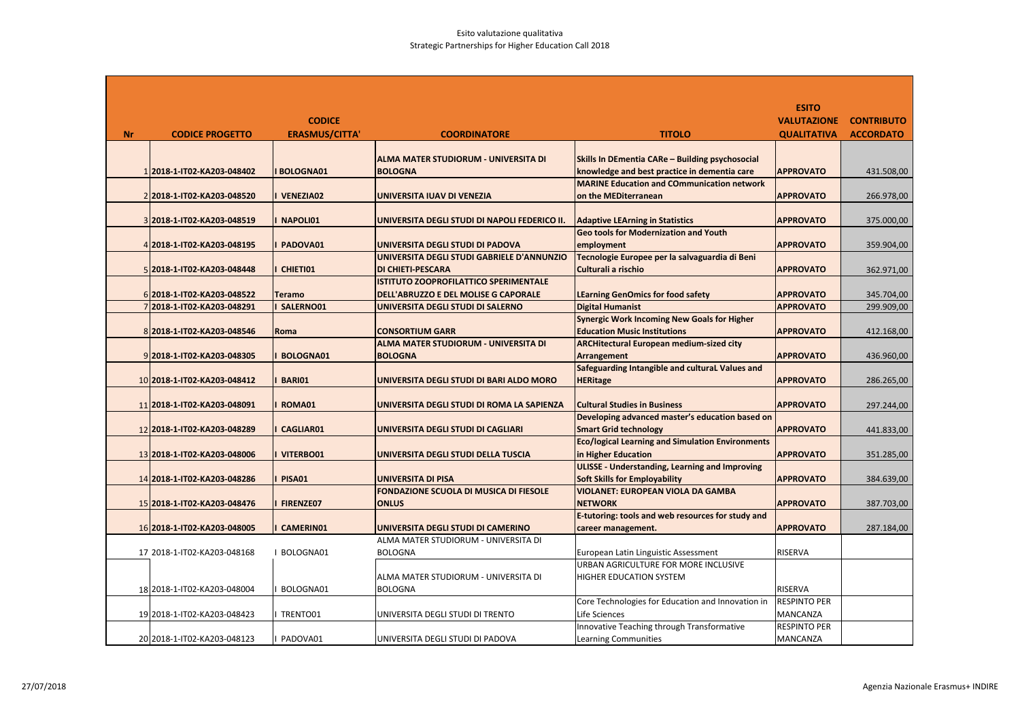|           |                             |                       |                                               |                                                                                        | <b>ESITO</b>        |                   |
|-----------|-----------------------------|-----------------------|-----------------------------------------------|----------------------------------------------------------------------------------------|---------------------|-------------------|
|           |                             | <b>CODICE</b>         |                                               |                                                                                        | <b>VALUTAZIONE</b>  | <b>CONTRIBUTO</b> |
| <b>Nr</b> | <b>CODICE PROGETTO</b>      | <b>ERASMUS/CITTA'</b> | <b>COORDINATORE</b>                           | <b>TITOLO</b>                                                                          | <b>QUALITATIVA</b>  | <b>ACCORDATO</b>  |
|           |                             |                       |                                               |                                                                                        |                     |                   |
|           |                             |                       | <b>ALMA MATER STUDIORUM - UNIVERSITA DI</b>   | Skills In DEmentia CARe - Building psychosocial                                        |                     |                   |
|           | 1 2018-1-IT02-KA203-048402  | <b>BOLOGNA01</b>      | <b>BOLOGNA</b>                                | knowledge and best practice in dementia care                                           | <b>APPROVATO</b>    | 431.508,00        |
|           |                             |                       |                                               | <b>MARINE Education and COmmunication network</b>                                      |                     |                   |
|           | 2 2018-1-IT02-KA203-048520  | <b>VENEZIA02</b>      | UNIVERSITA IUAV DI VENEZIA                    | on the MEDiterranean                                                                   | <b>APPROVATO</b>    | 266.978,00        |
|           |                             |                       |                                               |                                                                                        |                     |                   |
|           | 3 2018-1-IT02-KA203-048519  | NAPOLI01              | UNIVERSITA DEGLI STUDI DI NAPOLI FEDERICO II. | <b>Adaptive LEArning in Statistics</b>                                                 | <b>APPROVATO</b>    | 375.000,00        |
|           |                             |                       |                                               | <b>Geo tools for Modernization and Youth</b>                                           |                     |                   |
|           | 4 2018-1-IT02-KA203-048195  | PADOVA01              | UNIVERSITA DEGLI STUDI DI PADOVA              | employment                                                                             | <b>APPROVATO</b>    | 359.904,00        |
|           |                             |                       | UNIVERSITA DEGLI STUDI GABRIELE D'ANNUNZIO    | Tecnologie Europee per la salvaguardia di Beni                                         |                     |                   |
|           | 5 2018-1-IT02-KA203-048448  | CHIETI01              | <b>DI CHIETI-PESCARA</b>                      | Culturali a rischio                                                                    | <b>APPROVATO</b>    | 362.971,00        |
|           |                             |                       | <b>ISTITUTO ZOOPROFILATTICO SPERIMENTALE</b>  |                                                                                        |                     |                   |
|           | 6 2018-1-IT02-KA203-048522  | <b>Teramo</b>         | DELL'ABRUZZO E DEL MOLISE G CAPORALE          | <b>LEarning GenOmics for food safety</b>                                               | <b>APPROVATO</b>    | 345.704,00        |
|           | 7 2018-1-IT02-KA203-048291  | SALERNO01             | UNIVERSITA DEGLI STUDI DI SALERNO             | <b>Digital Humanist</b>                                                                | <b>APPROVATO</b>    | 299.909,00        |
|           |                             |                       |                                               | <b>Synergic Work Incoming New Goals for Higher</b>                                     |                     |                   |
|           | 8 2018-1-IT02-KA203-048546  | Roma                  | <b>CONSORTIUM GARR</b>                        | <b>Education Music Institutions</b>                                                    | <b>APPROVATO</b>    | 412.168,00        |
|           |                             |                       | ALMA MATER STUDIORUM - UNIVERSITA DI          | <b>ARCHitectural European medium-sized city</b>                                        |                     |                   |
|           | 9 2018-1-IT02-KA203-048305  | <b>BOLOGNA01</b>      | <b>BOLOGNA</b>                                | <b>Arrangement</b>                                                                     | <b>APPROVATO</b>    | 436.960,00        |
|           |                             |                       |                                               | Safeguarding Intangible and cultural Values and                                        |                     |                   |
|           | 10 2018-1-IT02-KA203-048412 | <b>BARI01</b>         | UNIVERSITA DEGLI STUDI DI BARI ALDO MORO      | <b>HERitage</b>                                                                        | <b>APPROVATO</b>    | 286.265,00        |
|           |                             |                       |                                               |                                                                                        |                     |                   |
|           | 11 2018-1-IT02-KA203-048091 | ROMA01                | UNIVERSITA DEGLI STUDI DI ROMA LA SAPIENZA    | <b>Cultural Studies in Business</b><br>Developing advanced master's education based on | <b>APPROVATO</b>    | 297.244,00        |
|           | 12 2018-1-IT02-KA203-048289 | <b>CAGLIAR01</b>      | UNIVERSITA DEGLI STUDI DI CAGLIARI            | <b>Smart Grid technology</b>                                                           | <b>APPROVATO</b>    | 441.833,00        |
|           |                             |                       |                                               | <b>Eco/logical Learning and Simulation Environments</b>                                |                     |                   |
|           | 13 2018-1-IT02-KA203-048006 | VITERBO01             | UNIVERSITA DEGLI STUDI DELLA TUSCIA           | in Higher Education                                                                    | <b>APPROVATO</b>    | 351.285,00        |
|           |                             |                       |                                               | <b>ULISSE - Understanding, Learning and Improving</b>                                  |                     |                   |
|           | 14 2018-1-1T02-KA203-048286 | <b>PISA01</b>         | <b>UNIVERSITA DI PISA</b>                     | <b>Soft Skills for Employability</b>                                                   | <b>APPROVATO</b>    | 384.639,00        |
|           |                             |                       | FONDAZIONE SCUOLA DI MUSICA DI FIESOLE        | <b>VIOLANET: EUROPEAN VIOLA DA GAMBA</b>                                               |                     |                   |
|           | 15 2018-1-IT02-KA203-048476 | <b>FIRENZE07</b>      | <b>ONLUS</b>                                  | <b>NETWORK</b>                                                                         | <b>APPROVATO</b>    | 387.703,00        |
|           |                             |                       |                                               | E-tutoring: tools and web resources for study and                                      |                     |                   |
|           | 16 2018-1-IT02-KA203-048005 | <b>CAMERIN01</b>      | UNIVERSITA DEGLI STUDI DI CAMERINO            | career management.                                                                     | <b>APPROVATO</b>    | 287.184,00        |
|           |                             |                       | ALMA MATER STUDIORUM - UNIVERSITA DI          |                                                                                        |                     |                   |
|           | 17 2018-1-IT02-KA203-048168 | I BOLOGNA01           | <b>BOLOGNA</b>                                | European Latin Linguistic Assessment                                                   | <b>RISERVA</b>      |                   |
|           |                             |                       |                                               | URBAN AGRICULTURE FOR MORE INCLUSIVE                                                   |                     |                   |
|           |                             |                       | ALMA MATER STUDIORUM - UNIVERSITA DI          | <b>HIGHER EDUCATION SYSTEM</b>                                                         |                     |                   |
|           | 18 2018-1-IT02-KA203-048004 | BOLOGNA01             | <b>BOLOGNA</b>                                |                                                                                        | <b>RISERVA</b>      |                   |
|           |                             |                       |                                               | Core Technologies for Education and Innovation in                                      | <b>RESPINTO PER</b> |                   |
|           | 19 2018-1-IT02-KA203-048423 | TRENTO01              | UNIVERSITA DEGLI STUDI DI TRENTO              | Life Sciences                                                                          | <b>MANCANZA</b>     |                   |
|           |                             |                       |                                               | Innovative Teaching through Transformative                                             | <b>RESPINTO PER</b> |                   |
|           | 20 2018-1-IT02-KA203-048123 | PADOVA01              | UNIVERSITA DEGLI STUDI DI PADOVA              | <b>Learning Communities</b>                                                            | MANCANZA            |                   |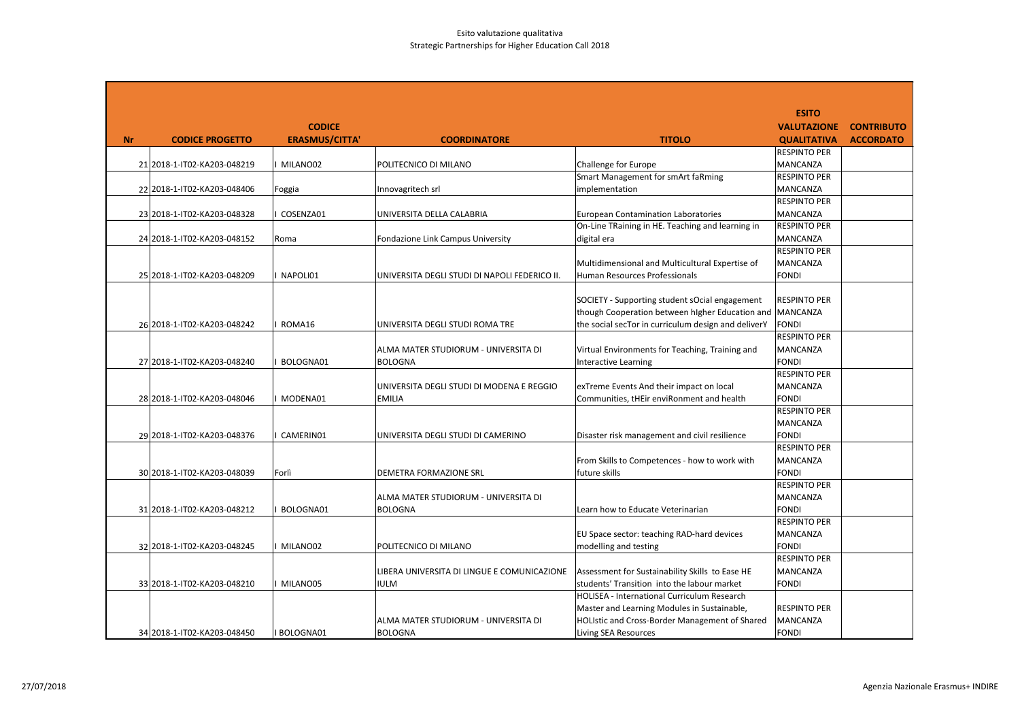|           |                             |                       |                                               |                                                     | <b>ESITO</b>                    |                   |
|-----------|-----------------------------|-----------------------|-----------------------------------------------|-----------------------------------------------------|---------------------------------|-------------------|
|           |                             | <b>CODICE</b>         |                                               |                                                     | <b>VALUTAZIONE</b>              | <b>CONTRIBUTO</b> |
| <b>Nr</b> | <b>CODICE PROGETTO</b>      | <b>ERASMUS/CITTA'</b> | <b>COORDINATORE</b>                           | <b>TITOLO</b>                                       | <b>QUALITATIVA</b>              | <b>ACCORDATO</b>  |
|           |                             |                       |                                               |                                                     | <b>RESPINTO PER</b>             |                   |
|           | 21 2018-1-IT02-KA203-048219 | MILANO02              | POLITECNICO DI MILANO                         | Challenge for Europe                                | MANCANZA                        |                   |
|           |                             |                       |                                               | Smart Management for smArt faRming                  | <b>RESPINTO PER</b>             |                   |
|           | 22 2018-1-IT02-KA203-048406 | Foggia                | Innovagritech srl                             | implementation                                      | <b>MANCANZA</b>                 |                   |
|           |                             |                       |                                               |                                                     | <b>RESPINTO PER</b>             |                   |
|           | 23 2018-1-IT02-KA203-048328 | COSENZA01             | UNIVERSITA DELLA CALABRIA                     | <b>European Contamination Laboratories</b>          | <b>MANCANZA</b>                 |                   |
|           |                             |                       |                                               | On-Line TRaining in HE. Teaching and learning in    | <b>RESPINTO PER</b>             |                   |
|           | 24 2018-1-IT02-KA203-048152 | Roma                  | Fondazione Link Campus University             | digital era                                         | MANCANZA                        |                   |
|           |                             |                       |                                               |                                                     | <b>RESPINTO PER</b>             |                   |
|           |                             |                       |                                               | Multidimensional and Multicultural Expertise of     | <b>MANCANZA</b>                 |                   |
|           | 25 2018-1-IT02-KA203-048209 | NAPOLI01              | UNIVERSITA DEGLI STUDI DI NAPOLI FEDERICO II. | Human Resources Professionals                       | <b>FONDI</b>                    |                   |
|           |                             |                       |                                               |                                                     |                                 |                   |
|           |                             |                       |                                               | SOCIETY - Supporting student sOcial engagement      | <b>RESPINTO PER</b>             |                   |
|           |                             |                       |                                               | though Cooperation between higher Education and     | <b>MANCANZA</b>                 |                   |
|           | 26 2018-1-IT02-KA203-048242 | ROMA16                | UNIVERSITA DEGLI STUDI ROMA TRE               | the social secTor in curriculum design and deliverY | <b>FONDI</b>                    |                   |
|           |                             |                       |                                               |                                                     | <b>RESPINTO PER</b>             |                   |
|           |                             |                       | ALMA MATER STUDIORUM - UNIVERSITA DI          | Virtual Environments for Teaching, Training and     | <b>MANCANZA</b>                 |                   |
|           | 27 2018-1-IT02-KA203-048240 | BOLOGNA01             | <b>BOLOGNA</b>                                | <b>Interactive Learning</b>                         | <b>FONDI</b>                    |                   |
|           |                             |                       |                                               |                                                     | <b>RESPINTO PER</b>             |                   |
|           |                             |                       | UNIVERSITA DEGLI STUDI DI MODENA E REGGIO     | exTreme Events And their impact on local            | <b>MANCANZA</b><br><b>FONDI</b> |                   |
|           | 28 2018-1-IT02-KA203-048046 | MODENA01              | <b>EMILIA</b>                                 | Communities, tHEir enviRonment and health           | <b>RESPINTO PER</b>             |                   |
|           |                             |                       |                                               |                                                     | <b>MANCANZA</b>                 |                   |
|           | 29 2018-1-IT02-KA203-048376 | CAMERIN01             | UNIVERSITA DEGLI STUDI DI CAMERINO            | Disaster risk management and civil resilience       | <b>FONDI</b>                    |                   |
|           |                             |                       |                                               |                                                     | <b>RESPINTO PER</b>             |                   |
|           |                             |                       |                                               | From Skills to Competences - how to work with       | <b>MANCANZA</b>                 |                   |
|           | 30 2018-1-IT02-KA203-048039 | Forlì                 | <b>DEMETRA FORMAZIONE SRL</b>                 | future skills                                       | <b>FONDI</b>                    |                   |
|           |                             |                       |                                               |                                                     | <b>RESPINTO PER</b>             |                   |
|           |                             |                       | ALMA MATER STUDIORUM - UNIVERSITA DI          |                                                     | MANCANZA                        |                   |
|           | 31 2018-1-IT02-KA203-048212 | BOLOGNA01             | <b>BOLOGNA</b>                                | Learn how to Educate Veterinarian                   | <b>FONDI</b>                    |                   |
|           |                             |                       |                                               |                                                     | <b>RESPINTO PER</b>             |                   |
|           |                             |                       |                                               | EU Space sector: teaching RAD-hard devices          | <b>MANCANZA</b>                 |                   |
|           | 32 2018-1-IT02-KA203-048245 | MILANO02              | POLITECNICO DI MILANO                         | modelling and testing                               | <b>FONDI</b>                    |                   |
|           |                             |                       |                                               |                                                     | <b>RESPINTO PER</b>             |                   |
|           |                             |                       | LIBERA UNIVERSITA DI LINGUE E COMUNICAZIONE   | Assessment for Sustainability Skills to Ease HE     | <b>MANCANZA</b>                 |                   |
|           | 33 2018-1-IT02-KA203-048210 | MILANO05              | <b>IULM</b>                                   | students' Transition into the labour market         | <b>FONDI</b>                    |                   |
|           |                             |                       |                                               | HOLISEA - International Curriculum Research         |                                 |                   |
|           |                             |                       |                                               | Master and Learning Modules in Sustainable,         | <b>RESPINTO PER</b>             |                   |
|           |                             |                       | ALMA MATER STUDIORUM - UNIVERSITA DI          | HOLIstic and Cross-Border Management of Shared      | MANCANZA                        |                   |
|           | 34 2018-1-IT02-KA203-048450 | I BOLOGNA01           | <b>BOLOGNA</b>                                | Living SEA Resources                                | <b>FONDI</b>                    |                   |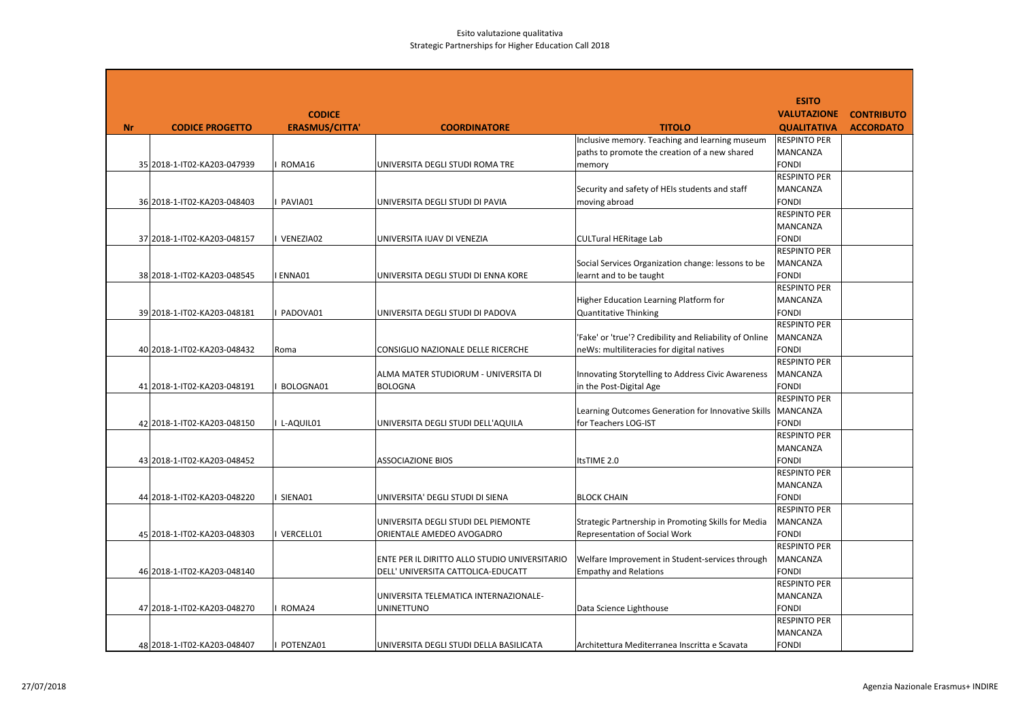|    |                             |                       |                                               |                                                         | <b>ESITO</b>                        |                   |
|----|-----------------------------|-----------------------|-----------------------------------------------|---------------------------------------------------------|-------------------------------------|-------------------|
|    |                             | <b>CODICE</b>         |                                               |                                                         | <b>VALUTAZIONE</b>                  | <b>CONTRIBUTO</b> |
| Nr | <b>CODICE PROGETTO</b>      | <b>ERASMUS/CITTA'</b> | <b>COORDINATORE</b>                           | <b>TITOLO</b>                                           | <b>QUALITATIVA</b>                  | <b>ACCORDATO</b>  |
|    |                             |                       |                                               | Inclusive memory. Teaching and learning museum          | <b>RESPINTO PER</b>                 |                   |
|    |                             |                       |                                               | paths to promote the creation of a new shared           | <b>MANCANZA</b>                     |                   |
|    | 35 2018-1-IT02-KA203-047939 | ROMA16                | UNIVERSITA DEGLI STUDI ROMA TRE               | memory                                                  | <b>FONDI</b>                        |                   |
|    |                             |                       |                                               |                                                         | <b>RESPINTO PER</b>                 |                   |
|    |                             |                       |                                               | Security and safety of HEIs students and staff          | <b>MANCANZA</b>                     |                   |
|    | 36 2018-1-IT02-KA203-048403 | PAVIA01               | UNIVERSITA DEGLI STUDI DI PAVIA               | moving abroad                                           | <b>FONDI</b><br><b>RESPINTO PER</b> |                   |
|    |                             |                       |                                               |                                                         | <b>MANCANZA</b>                     |                   |
|    | 37 2018-1-IT02-KA203-048157 | VENEZIA02             | UNIVERSITA IUAV DI VENEZIA                    | <b>CULTural HERitage Lab</b>                            | <b>FONDI</b>                        |                   |
|    |                             |                       |                                               |                                                         | <b>RESPINTO PER</b>                 |                   |
|    |                             |                       |                                               | Social Services Organization change: lessons to be      | <b>MANCANZA</b>                     |                   |
|    | 38 2018-1-IT02-KA203-048545 | ENNA01                | UNIVERSITA DEGLI STUDI DI ENNA KORE           | learnt and to be taught                                 | <b>FONDI</b>                        |                   |
|    |                             |                       |                                               |                                                         | <b>RESPINTO PER</b>                 |                   |
|    |                             |                       |                                               | Higher Education Learning Platform for                  | <b>MANCANZA</b>                     |                   |
|    | 39 2018-1-IT02-KA203-048181 | PADOVA01              | UNIVERSITA DEGLI STUDI DI PADOVA              | <b>Quantitative Thinking</b>                            | <b>FONDI</b>                        |                   |
|    |                             |                       |                                               |                                                         | <b>RESPINTO PER</b>                 |                   |
|    |                             |                       |                                               | 'Fake' or 'true'? Credibility and Reliability of Online | <b>MANCANZA</b>                     |                   |
|    | 40 2018-1-IT02-KA203-048432 | Roma                  | CONSIGLIO NAZIONALE DELLE RICERCHE            | neWs: multiliteracies for digital natives               | <b>FONDI</b>                        |                   |
|    |                             |                       |                                               |                                                         | <b>RESPINTO PER</b>                 |                   |
|    |                             |                       | ALMA MATER STUDIORUM - UNIVERSITA DI          | Innovating Storytelling to Address Civic Awareness      | <b>MANCANZA</b>                     |                   |
|    | 41 2018-1-IT02-KA203-048191 | BOLOGNA01             | <b>BOLOGNA</b>                                | in the Post-Digital Age                                 | <b>FONDI</b><br><b>RESPINTO PER</b> |                   |
|    |                             |                       |                                               | Learning Outcomes Generation for Innovative Skills      | <b>MANCANZA</b>                     |                   |
|    | 42 2018-1-IT02-KA203-048150 | I L-AQUIL01           | UNIVERSITA DEGLI STUDI DELL'AQUILA            | for Teachers LOG-IST                                    | <b>FONDI</b>                        |                   |
|    |                             |                       |                                               |                                                         | <b>RESPINTO PER</b>                 |                   |
|    |                             |                       |                                               |                                                         | MANCANZA                            |                   |
|    | 43 2018-1-IT02-KA203-048452 |                       | <b>ASSOCIAZIONE BIOS</b>                      | ItsTIME 2.0                                             | <b>FONDI</b>                        |                   |
|    |                             |                       |                                               |                                                         | <b>RESPINTO PER</b>                 |                   |
|    |                             |                       |                                               |                                                         | <b>MANCANZA</b>                     |                   |
|    | 44 2018-1-IT02-KA203-048220 | SIENA01               | UNIVERSITA' DEGLI STUDI DI SIENA              | <b>BLOCK CHAIN</b>                                      | <b>FONDI</b>                        |                   |
|    |                             |                       |                                               |                                                         | <b>RESPINTO PER</b>                 |                   |
|    |                             |                       | UNIVERSITA DEGLI STUDI DEL PIEMONTE           | Strategic Partnership in Promoting Skills for Media     | <b>MANCANZA</b>                     |                   |
|    | 45 2018-1-IT02-KA203-048303 | VERCELL01             | ORIENTALE AMEDEO AVOGADRO                     | <b>Representation of Social Work</b>                    | <b>FONDI</b>                        |                   |
|    |                             |                       |                                               |                                                         | <b>RESPINTO PER</b>                 |                   |
|    |                             |                       | ENTE PER IL DIRITTO ALLO STUDIO UNIVERSITARIO | Welfare Improvement in Student-services through         | <b>MANCANZA</b>                     |                   |
|    | 46 2018-1-IT02-KA203-048140 |                       | DELL' UNIVERSITA CATTOLICA-EDUCATT            | <b>Empathy and Relations</b>                            | <b>FONDI</b>                        |                   |
|    |                             |                       |                                               |                                                         | <b>RESPINTO PER</b>                 |                   |
|    |                             |                       | UNIVERSITA TELEMATICA INTERNAZIONALE-         |                                                         | MANCANZA                            |                   |
|    | 47 2018-1-IT02-KA203-048270 | ROMA24                | <b>UNINETTUNO</b>                             | Data Science Lighthouse                                 | <b>FONDI</b><br><b>RESPINTO PER</b> |                   |
|    |                             |                       |                                               |                                                         | MANCANZA                            |                   |
|    | 48 2018-1-IT02-KA203-048407 | POTENZA01             | UNIVERSITA DEGLI STUDI DELLA BASILICATA       | Architettura Mediterranea Inscritta e Scavata           | <b>FONDI</b>                        |                   |
|    |                             |                       |                                               |                                                         |                                     |                   |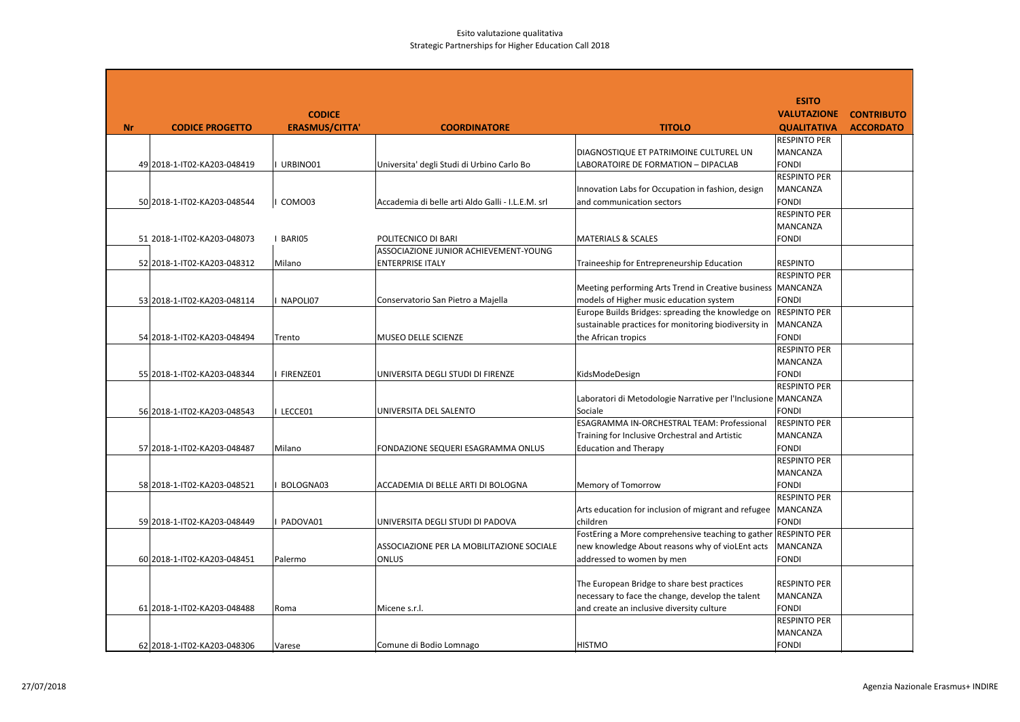|           |                             |                       |                                                   |                                                                | <b>ESITO</b>                        |                   |
|-----------|-----------------------------|-----------------------|---------------------------------------------------|----------------------------------------------------------------|-------------------------------------|-------------------|
|           |                             | <b>CODICE</b>         |                                                   |                                                                | <b>VALUTAZIONE</b>                  | <b>CONTRIBUTO</b> |
| <b>Nr</b> | <b>CODICE PROGETTO</b>      | <b>ERASMUS/CITTA'</b> | <b>COORDINATORE</b>                               | <b>TITOLO</b>                                                  | <b>QUALITATIVA</b>                  | <b>ACCORDATO</b>  |
|           |                             |                       |                                                   |                                                                | <b>RESPINTO PER</b>                 |                   |
|           |                             |                       |                                                   | DIAGNOSTIQUE ET PATRIMOINE CULTUREL UN                         | MANCANZA                            |                   |
|           | 49 2018-1-IT02-KA203-048419 | URBINO01              | Universita' degli Studi di Urbino Carlo Bo        | LABORATOIRE DE FORMATION - DIPACLAB                            | <b>FONDI</b><br><b>RESPINTO PER</b> |                   |
|           |                             |                       |                                                   | Innovation Labs for Occupation in fashion, design              | <b>MANCANZA</b>                     |                   |
|           | 50 2018-1-IT02-KA203-048544 | COMO03                | Accademia di belle arti Aldo Galli - I.L.E.M. srl | and communication sectors                                      | <b>FONDI</b>                        |                   |
|           |                             |                       |                                                   |                                                                | <b>RESPINTO PER</b>                 |                   |
|           |                             |                       |                                                   |                                                                | MANCANZA                            |                   |
|           | 51 2018-1-IT02-KA203-048073 | I BARIO5              | POLITECNICO DI BARI                               | <b>MATERIALS &amp; SCALES</b>                                  | <b>FONDI</b>                        |                   |
|           |                             |                       | ASSOCIAZIONE JUNIOR ACHIEVEMENT-YOUNG             |                                                                |                                     |                   |
|           | 52 2018-1-IT02-KA203-048312 | Milano                | <b>ENTERPRISE ITALY</b>                           | Traineeship for Entrepreneurship Education                     | <b>RESPINTO</b>                     |                   |
|           |                             |                       |                                                   |                                                                | <b>RESPINTO PER</b>                 |                   |
|           |                             |                       |                                                   | Meeting performing Arts Trend in Creative business   MANCANZA  |                                     |                   |
|           | 53 2018-1-IT02-KA203-048114 | NAPOLI07              | Conservatorio San Pietro a Majella                | models of Higher music education system                        | <b>FONDI</b>                        |                   |
|           |                             |                       |                                                   | Europe Builds Bridges: spreading the knowledge on              | <b>RESPINTO PER</b>                 |                   |
|           |                             |                       |                                                   | sustainable practices for monitoring biodiversity in           | <b>MANCANZA</b><br><b>FONDI</b>     |                   |
|           | 54 2018-1-IT02-KA203-048494 | Trento                | <b>MUSEO DELLE SCIENZE</b>                        | the African tropics                                            | <b>RESPINTO PER</b>                 |                   |
|           |                             |                       |                                                   |                                                                | <b>MANCANZA</b>                     |                   |
|           | 55 2018-1-IT02-KA203-048344 | FIRENZE01             | UNIVERSITA DEGLI STUDI DI FIRENZE                 | KidsModeDesign                                                 | <b>FONDI</b>                        |                   |
|           |                             |                       |                                                   |                                                                | <b>RESPINTO PER</b>                 |                   |
|           |                             |                       |                                                   | Laboratori di Metodologie Narrative per l'Inclusione MANCANZA  |                                     |                   |
|           | 56 2018-1-IT02-KA203-048543 | I LECCE01             | UNIVERSITA DEL SALENTO                            | Sociale                                                        | <b>FONDI</b>                        |                   |
|           |                             |                       |                                                   | ESAGRAMMA IN-ORCHESTRAL TEAM: Professional                     | <b>RESPINTO PER</b>                 |                   |
|           |                             |                       |                                                   | Training for Inclusive Orchestral and Artistic                 | <b>MANCANZA</b>                     |                   |
|           | 57 2018-1-IT02-KA203-048487 | Milano                | FONDAZIONE SEQUERI ESAGRAMMA ONLUS                | <b>Education and Therapy</b>                                   | <b>FONDI</b>                        |                   |
|           |                             |                       |                                                   |                                                                | <b>RESPINTO PER</b>                 |                   |
|           |                             |                       |                                                   |                                                                | <b>MANCANZA</b>                     |                   |
|           | 58 2018-1-IT02-KA203-048521 | BOLOGNA03             | ACCADEMIA DI BELLE ARTI DI BOLOGNA                | Memory of Tomorrow                                             | <b>FONDI</b><br><b>RESPINTO PER</b> |                   |
|           |                             |                       |                                                   | Arts education for inclusion of migrant and refugee            | MANCANZA                            |                   |
|           | 59 2018-1-IT02-KA203-048449 | PADOVA01              | UNIVERSITA DEGLI STUDI DI PADOVA                  | children                                                       | <b>FONDI</b>                        |                   |
|           |                             |                       |                                                   | FostEring a More comprehensive teaching to gather RESPINTO PER |                                     |                   |
|           |                             |                       | ASSOCIAZIONE PER LA MOBILITAZIONE SOCIALE         | new knowledge About reasons why of vioLEnt acts                | MANCANZA                            |                   |
|           | 60 2018-1-IT02-KA203-048451 | Palermo               | <b>ONLUS</b>                                      | addressed to women by men                                      | <b>FONDI</b>                        |                   |
|           |                             |                       |                                                   |                                                                |                                     |                   |
|           |                             |                       |                                                   | The European Bridge to share best practices                    | <b>RESPINTO PER</b>                 |                   |
|           |                             |                       |                                                   | necessary to face the change, develop the talent               | <b>MANCANZA</b>                     |                   |
|           | 61 2018-1-IT02-KA203-048488 | Roma                  | Micene s.r.l.                                     | and create an inclusive diversity culture                      | <b>FONDI</b>                        |                   |
|           |                             |                       |                                                   |                                                                | <b>RESPINTO PER</b>                 |                   |
|           |                             |                       |                                                   |                                                                | MANCANZA                            |                   |
|           | 62 2018-1-IT02-KA203-048306 | Varese                | Comune di Bodio Lomnago                           | <b>HISTMO</b>                                                  | FONDI                               |                   |